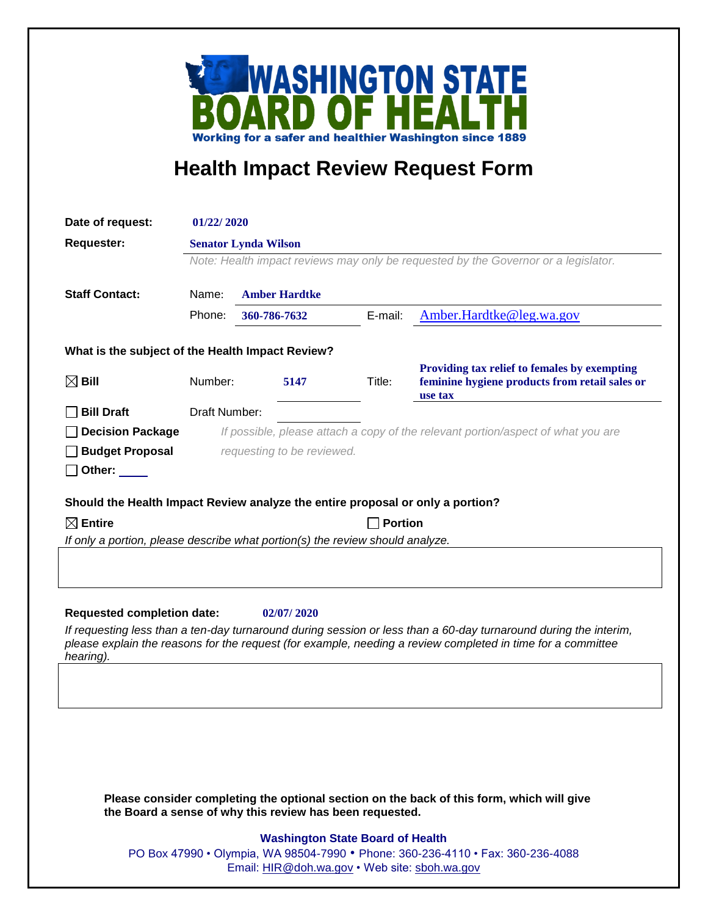

## **Health Impact Review Request Form**

| Date of request:                                                               | 01/22/2020                                                                                                        |  |              |                                         |                                                                                                                  |  |  |
|--------------------------------------------------------------------------------|-------------------------------------------------------------------------------------------------------------------|--|--------------|-----------------------------------------|------------------------------------------------------------------------------------------------------------------|--|--|
| <b>Requester:</b>                                                              | <b>Senator Lynda Wilson</b><br>Note: Health impact reviews may only be requested by the Governor or a legislator. |  |              |                                         |                                                                                                                  |  |  |
|                                                                                |                                                                                                                   |  |              |                                         |                                                                                                                  |  |  |
|                                                                                |                                                                                                                   |  |              |                                         |                                                                                                                  |  |  |
| <b>Staff Contact:</b>                                                          | Name:<br><b>Amber Hardtke</b>                                                                                     |  |              |                                         |                                                                                                                  |  |  |
|                                                                                | Phone:                                                                                                            |  | 360-786-7632 | E-mail:                                 | Amber.Hardtke@leg.wa.gov                                                                                         |  |  |
| What is the subject of the Health Impact Review?                               |                                                                                                                   |  |              |                                         |                                                                                                                  |  |  |
| $\boxtimes$ Bill                                                               | Number:                                                                                                           |  | 5147         | Title:                                  | Providing tax relief to females by exempting<br>feminine hygiene products from retail sales or<br>use tax        |  |  |
| <b>Bill Draft</b>                                                              | Draft Number:                                                                                                     |  |              |                                         |                                                                                                                  |  |  |
| <b>Decision Package</b>                                                        | If possible, please attach a copy of the relevant portion/aspect of what you are                                  |  |              |                                         |                                                                                                                  |  |  |
| <b>Budget Proposal</b>                                                         | requesting to be reviewed.                                                                                        |  |              |                                         |                                                                                                                  |  |  |
| Other: $\_\_$                                                                  |                                                                                                                   |  |              |                                         |                                                                                                                  |  |  |
|                                                                                |                                                                                                                   |  |              |                                         |                                                                                                                  |  |  |
| Should the Health Impact Review analyze the entire proposal or only a portion? |                                                                                                                   |  |              |                                         |                                                                                                                  |  |  |
| $\boxtimes$ Entire                                                             |                                                                                                                   |  |              | <b>Portion</b>                          |                                                                                                                  |  |  |
| If only a portion, please describe what portion(s) the review should analyze.  |                                                                                                                   |  |              |                                         |                                                                                                                  |  |  |
|                                                                                |                                                                                                                   |  |              |                                         |                                                                                                                  |  |  |
|                                                                                |                                                                                                                   |  |              |                                         |                                                                                                                  |  |  |
| <b>Requested completion date:</b>                                              |                                                                                                                   |  | 02/07/2020   |                                         |                                                                                                                  |  |  |
|                                                                                |                                                                                                                   |  |              |                                         | If requesting less than a ten-day turnaround during session or less than a 60-day turnaround during the interim, |  |  |
| hearing).                                                                      |                                                                                                                   |  |              |                                         | please explain the reasons for the request (for example, needing a review completed in time for a committee      |  |  |
|                                                                                |                                                                                                                   |  |              |                                         |                                                                                                                  |  |  |
|                                                                                |                                                                                                                   |  |              |                                         |                                                                                                                  |  |  |
|                                                                                |                                                                                                                   |  |              |                                         |                                                                                                                  |  |  |
|                                                                                |                                                                                                                   |  |              |                                         |                                                                                                                  |  |  |
|                                                                                |                                                                                                                   |  |              |                                         |                                                                                                                  |  |  |
|                                                                                |                                                                                                                   |  |              |                                         |                                                                                                                  |  |  |
|                                                                                |                                                                                                                   |  |              |                                         |                                                                                                                  |  |  |
|                                                                                |                                                                                                                   |  |              |                                         | Please consider completing the optional section on the back of this form, which will give                        |  |  |
| the Board a sense of why this review has been requested.                       |                                                                                                                   |  |              |                                         |                                                                                                                  |  |  |
|                                                                                |                                                                                                                   |  |              | <b>Washington State Board of Health</b> | PO Box 47990 • Olympia, WA 98504-7990 • Phone: 360-236-4110 • Fax: 360-236-4088                                  |  |  |